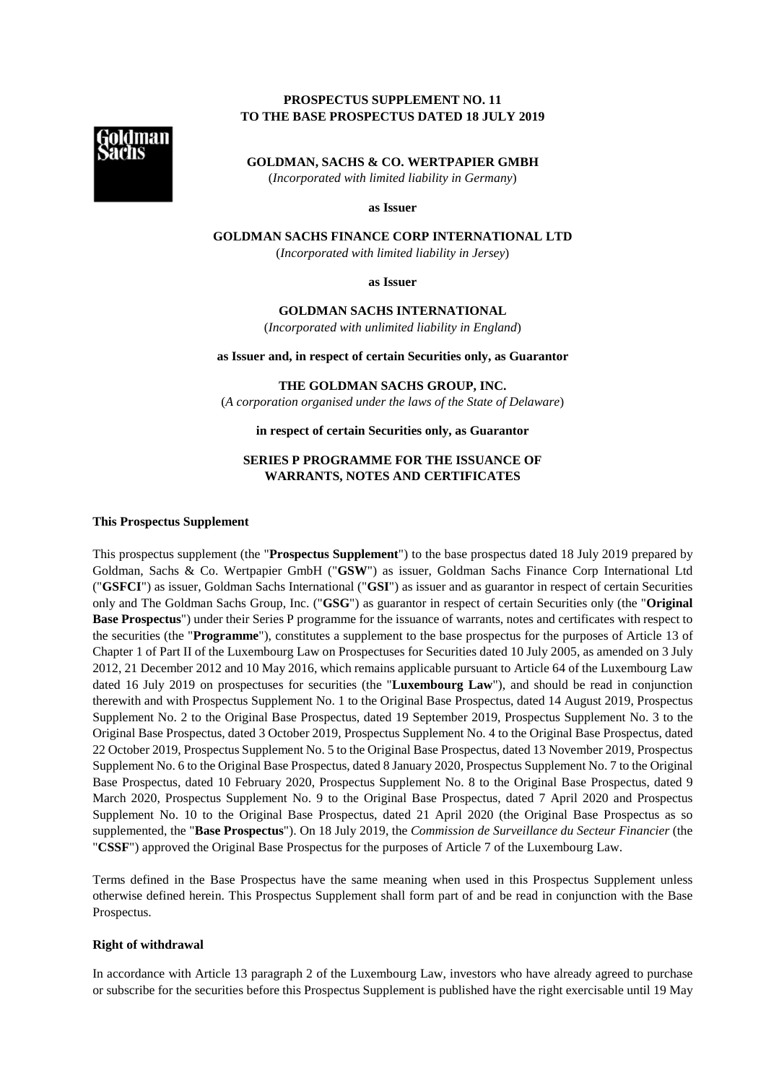# **PROSPECTUS SUPPLEMENT NO. 11 TO THE BASE PROSPECTUS DATED 18 JULY 2019**



**GOLDMAN, SACHS & CO. WERTPAPIER GMBH**  (*Incorporated with limited liability in Germany*)

**as Issuer** 

**GOLDMAN SACHS FINANCE CORP INTERNATIONAL LTD** 

(*Incorporated with limited liability in Jersey*)

**as Issuer** 

#### **GOLDMAN SACHS INTERNATIONAL**

(*Incorporated with unlimited liability in England*)

**as Issuer and, in respect of certain Securities only, as Guarantor** 

# **THE GOLDMAN SACHS GROUP, INC.**

(*A corporation organised under the laws of the State of Delaware*)

**in respect of certain Securities only, as Guarantor** 

## **SERIES P PROGRAMME FOR THE ISSUANCE OF WARRANTS, NOTES AND CERTIFICATES**

#### **This Prospectus Supplement**

This prospectus supplement (the "**Prospectus Supplement**") to the base prospectus dated 18 July 2019 prepared by Goldman, Sachs & Co. Wertpapier GmbH ("**GSW**") as issuer, Goldman Sachs Finance Corp International Ltd ("**GSFCI**") as issuer, Goldman Sachs International ("**GSI**") as issuer and as guarantor in respect of certain Securities only and The Goldman Sachs Group, Inc. ("**GSG**") as guarantor in respect of certain Securities only (the "**Original Base Prospectus**") under their Series P programme for the issuance of warrants, notes and certificates with respect to the securities (the "**Programme**"), constitutes a supplement to the base prospectus for the purposes of Article 13 of Chapter 1 of Part II of the Luxembourg Law on Prospectuses for Securities dated 10 July 2005, as amended on 3 July 2012, 21 December 2012 and 10 May 2016, which remains applicable pursuant to Article 64 of the Luxembourg Law dated 16 July 2019 on prospectuses for securities (the "**Luxembourg Law**"), and should be read in conjunction therewith and with Prospectus Supplement No. 1 to the Original Base Prospectus, dated 14 August 2019, Prospectus Supplement No. 2 to the Original Base Prospectus, dated 19 September 2019, Prospectus Supplement No. 3 to the Original Base Prospectus, dated 3 October 2019, Prospectus Supplement No. 4 to the Original Base Prospectus, dated 22 October 2019, Prospectus Supplement No. 5 to the Original Base Prospectus, dated 13 November 2019, Prospectus Supplement No. 6 to the Original Base Prospectus, dated 8 January 2020, Prospectus Supplement No. 7 to the Original Base Prospectus, dated 10 February 2020, Prospectus Supplement No. 8 to the Original Base Prospectus, dated 9 March 2020, Prospectus Supplement No. 9 to the Original Base Prospectus, dated 7 April 2020 and Prospectus Supplement No. 10 to the Original Base Prospectus, dated 21 April 2020 (the Original Base Prospectus as so supplemented, the "**Base Prospectus**"). On 18 July 2019, the *Commission de Surveillance du Secteur Financier* (the "**CSSF**") approved the Original Base Prospectus for the purposes of Article 7 of the Luxembourg Law.

Terms defined in the Base Prospectus have the same meaning when used in this Prospectus Supplement unless otherwise defined herein. This Prospectus Supplement shall form part of and be read in conjunction with the Base Prospectus.

#### **Right of withdrawal**

In accordance with Article 13 paragraph 2 of the Luxembourg Law, investors who have already agreed to purchase or subscribe for the securities before this Prospectus Supplement is published have the right exercisable until 19 May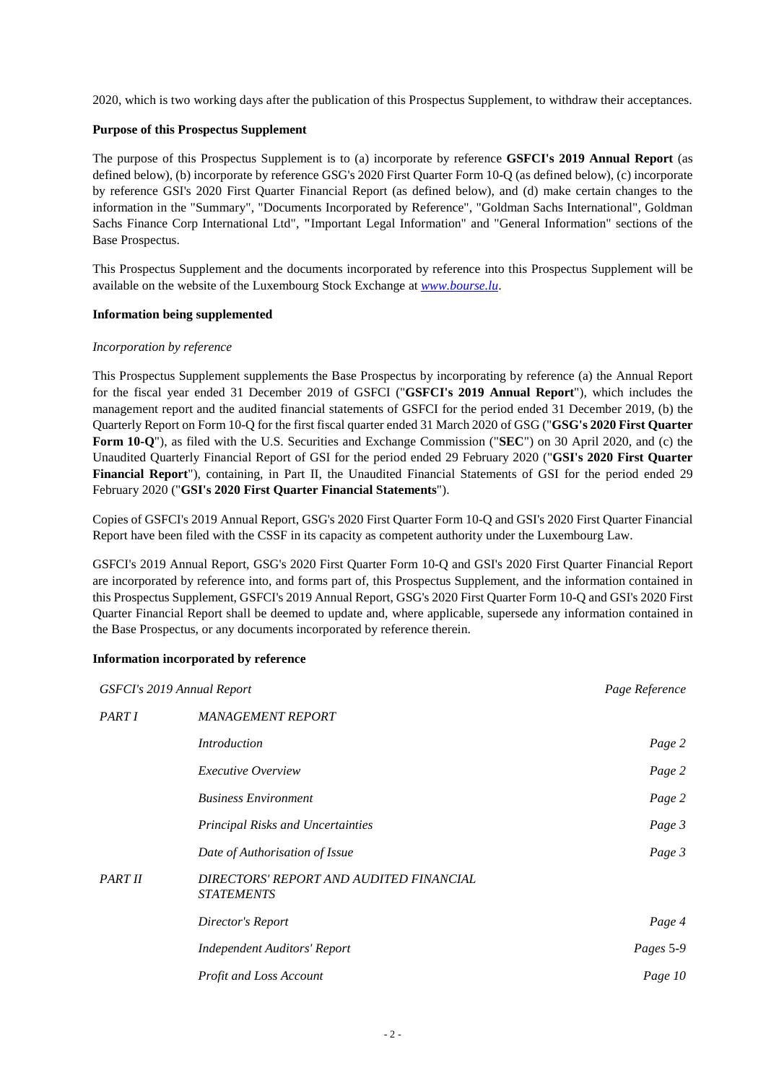2020, which is two working days after the publication of this Prospectus Supplement, to withdraw their acceptances.

#### **Purpose of this Prospectus Supplement**

The purpose of this Prospectus Supplement is to (a) incorporate by reference **GSFCI's 2019 Annual Report** (as defined below), (b) incorporate by reference GSG's 2020 First Quarter Form 10-Q (as defined below), (c) incorporate by reference GSI's 2020 First Quarter Financial Report (as defined below), and (d) make certain changes to the information in the "Summary", "Documents Incorporated by Reference", "Goldman Sachs International", Goldman Sachs Finance Corp International Ltd", **"**Important Legal Information" and "General Information" sections of the Base Prospectus.

This Prospectus Supplement and the documents incorporated by reference into this Prospectus Supplement will be available on the website of the Luxembourg Stock Exchange at *[www.bourse.lu](http://www.bourse.lu/)*.

#### **Information being supplemented**

#### *Incorporation by reference*

This Prospectus Supplement supplements the Base Prospectus by incorporating by reference (a) the Annual Report for the fiscal year ended 31 December 2019 of GSFCI ("**GSFCI's 2019 Annual Report**"), which includes the management report and the audited financial statements of GSFCI for the period ended 31 December 2019, (b) the Quarterly Report on Form 10-Q for the first fiscal quarter ended 31 March 2020 of GSG ("**GSG's 2020 First Quarter Form 10-Q**"), as filed with the U.S. Securities and Exchange Commission ("**SEC**") on 30 April 2020, and (c) the Unaudited Quarterly Financial Report of GSI for the period ended 29 February 2020 ("**GSI's 2020 First Quarter Financial Report**"), containing, in Part II, the Unaudited Financial Statements of GSI for the period ended 29 February 2020 ("**GSI's 2020 First Quarter Financial Statements**").

Copies of GSFCI's 2019 Annual Report, GSG's 2020 First Quarter Form 10-Q and GSI's 2020 First Quarter Financial Report have been filed with the CSSF in its capacity as competent authority under the Luxembourg Law.

GSFCI's 2019 Annual Report, GSG's 2020 First Quarter Form 10-Q and GSI's 2020 First Quarter Financial Report are incorporated by reference into, and forms part of, this Prospectus Supplement, and the information contained in this Prospectus Supplement, GSFCI's 2019 Annual Report, GSG's 2020 First Quarter Form 10-Q and GSI's 2020 First Quarter Financial Report shall be deemed to update and, where applicable, supersede any information contained in the Base Prospectus, or any documents incorporated by reference therein.

### **Information incorporated by reference**

| GSFCI's 2019 Annual Report | Page Reference                                               |           |
|----------------------------|--------------------------------------------------------------|-----------|
| PART I                     | <b>MANAGEMENT REPORT</b>                                     |           |
|                            | Introduction                                                 | Page 2    |
|                            | <i>Executive Overview</i>                                    | Page 2    |
|                            | <b>Business Environment</b>                                  | Page 2    |
|                            | <b>Principal Risks and Uncertainties</b>                     | Page 3    |
|                            | Date of Authorisation of Issue                               | Page 3    |
| <b>PART II</b>             | DIRECTORS' REPORT AND AUDITED FINANCIAL<br><b>STATEMENTS</b> |           |
|                            | Director's Report                                            | Page 4    |
|                            | <b>Independent Auditors' Report</b>                          | Pages 5-9 |
|                            | Profit and Loss Account                                      | Page 10   |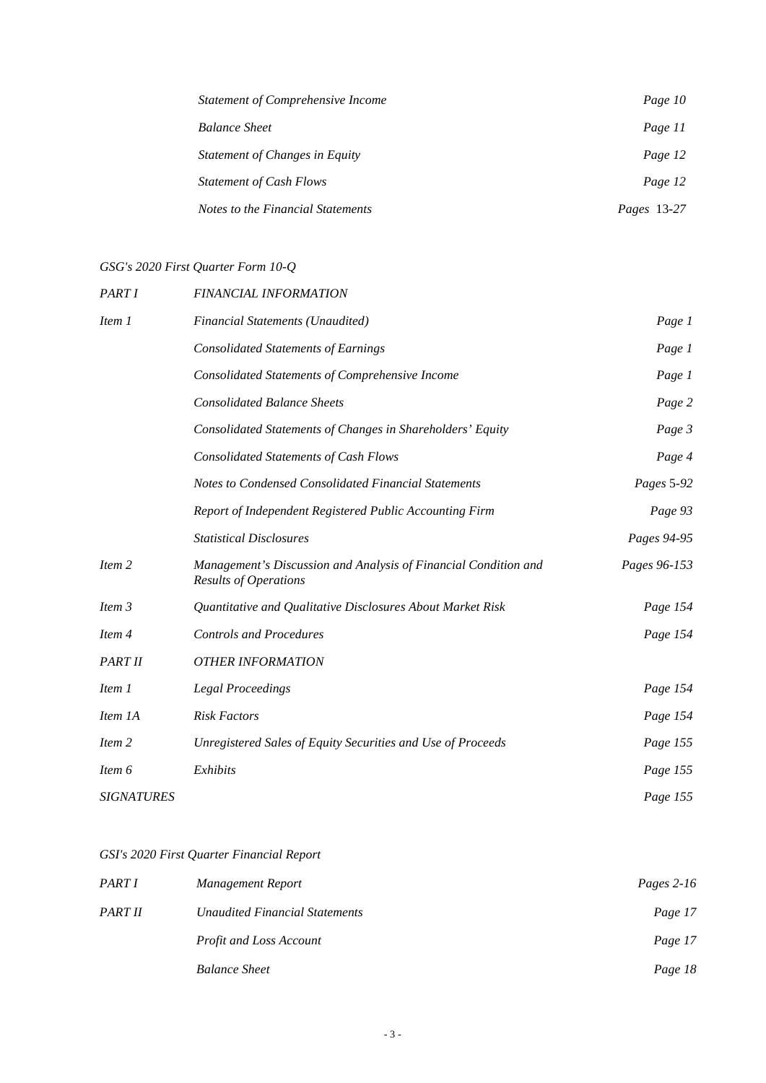| <b>Statement of Comprehensive Income</b> | Page 10            |
|------------------------------------------|--------------------|
| <b>Balance Sheet</b>                     | Page 11            |
| Statement of Changes in Equity           | Page 12            |
| <b>Statement of Cash Flows</b>           | Page 12            |
| Notes to the Financial Statements        | <i>Pages</i> 13-27 |

# *GSG's 2020 First Quarter Form 10-Q*

| PART I            | FINANCIAL INFORMATION                                                                           |              |
|-------------------|-------------------------------------------------------------------------------------------------|--------------|
| Item 1            | Financial Statements (Unaudited)                                                                | Page 1       |
|                   | <b>Consolidated Statements of Earnings</b>                                                      | Page 1       |
|                   | Consolidated Statements of Comprehensive Income                                                 | Page 1       |
|                   | <b>Consolidated Balance Sheets</b>                                                              | Page 2       |
|                   | Consolidated Statements of Changes in Shareholders' Equity                                      | Page 3       |
|                   | <b>Consolidated Statements of Cash Flows</b>                                                    | Page 4       |
|                   | Notes to Condensed Consolidated Financial Statements                                            | Pages 5-92   |
|                   | Report of Independent Registered Public Accounting Firm                                         | Page 93      |
|                   | <b>Statistical Disclosures</b>                                                                  | Pages 94-95  |
| Item 2            | Management's Discussion and Analysis of Financial Condition and<br><b>Results of Operations</b> | Pages 96-153 |
| Item 3            | Quantitative and Qualitative Disclosures About Market Risk                                      | Page 154     |
| Item 4            | <b>Controls and Procedures</b>                                                                  | Page 154     |
| PART II           | <b>OTHER INFORMATION</b>                                                                        |              |
| Item 1            | <b>Legal Proceedings</b>                                                                        | Page 154     |
| Item 1A           | <b>Risk Factors</b>                                                                             | Page 154     |
| Item 2            | Unregistered Sales of Equity Securities and Use of Proceeds                                     | Page 155     |
| Item 6            | Exhibits                                                                                        | Page 155     |
| <b>SIGNATURES</b> |                                                                                                 | Page 155     |

# *GSI's 2020 First Quarter Financial Report*

| PART I  | Management Report              | Pages $2-16$ |
|---------|--------------------------------|--------------|
| PART II | Unaudited Financial Statements | Page 17      |
|         | <b>Profit and Loss Account</b> | Page 17      |
|         | <b>Balance Sheet</b>           | Page 18      |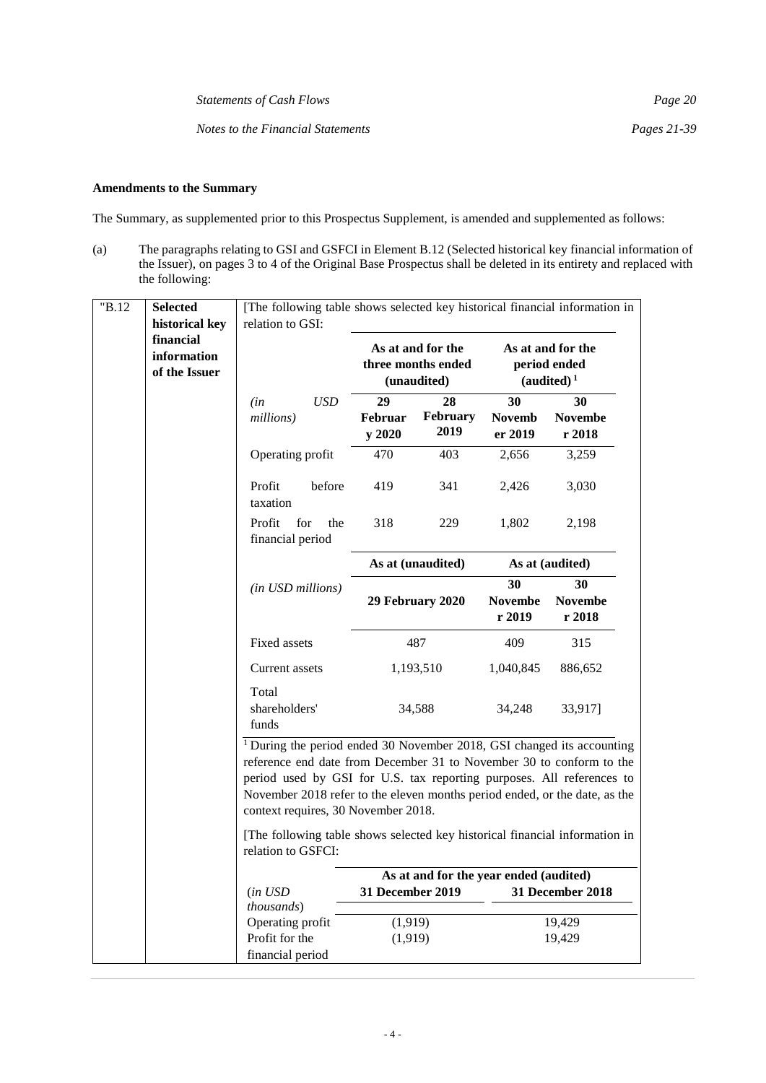*Statements of Cash Flows Page 20* 

*Notes to the Financial Statements Pages 21-39* 

# **Amendments to the Summary**

The Summary, as supplemented prior to this Prospectus Supplement, is amended and supplemented as follows:

(a) The paragraphs relating to GSI and GSFCI in Element B.12 (Selected historical key financial information of the Issuer), on pages 3 to 4 of the Original Base Prospectus shall be deleted in its entirety and replaced with the following:

| "B.12 | <b>Selected</b>                                                                                                                                                                                                                                                                                                                                         | [The following table shows selected key historical financial information in                       |            |                                                        |                                        |                                                             |                                |
|-------|---------------------------------------------------------------------------------------------------------------------------------------------------------------------------------------------------------------------------------------------------------------------------------------------------------------------------------------------------------|---------------------------------------------------------------------------------------------------|------------|--------------------------------------------------------|----------------------------------------|-------------------------------------------------------------|--------------------------------|
|       | historical key<br>financial<br>information<br>of the Issuer                                                                                                                                                                                                                                                                                             | relation to GSI:                                                                                  |            | As at and for the<br>three months ended<br>(unaudited) |                                        | As at and for the<br>period ended<br>(audited) <sup>1</sup> |                                |
|       |                                                                                                                                                                                                                                                                                                                                                         | (in<br>millions)                                                                                  | <b>USD</b> | 29<br>Februar<br>y 2020                                | 28<br>February<br>2019                 | 30<br><b>Novemb</b><br>er 2019                              | 30<br><b>Novembe</b><br>r 2018 |
|       |                                                                                                                                                                                                                                                                                                                                                         | Operating profit                                                                                  |            | 470                                                    | 403                                    | 2,656                                                       | 3,259                          |
|       |                                                                                                                                                                                                                                                                                                                                                         | Profit<br>taxation                                                                                | before     | 419                                                    | 341                                    | 2,426                                                       | 3,030                          |
|       |                                                                                                                                                                                                                                                                                                                                                         | Profit<br>financial period                                                                        | for<br>the | 318                                                    | 229                                    | 1,802                                                       | 2,198                          |
|       |                                                                                                                                                                                                                                                                                                                                                         |                                                                                                   |            |                                                        | As at (unaudited)                      |                                                             | As at (audited)                |
|       |                                                                                                                                                                                                                                                                                                                                                         | (in USD millions)                                                                                 |            |                                                        | 29 February 2020                       | 30<br><b>Novembe</b><br>r 2019                              | 30<br><b>Novembe</b><br>r 2018 |
|       |                                                                                                                                                                                                                                                                                                                                                         | Fixed assets                                                                                      |            |                                                        | 487                                    | 409                                                         | 315                            |
|       |                                                                                                                                                                                                                                                                                                                                                         | Current assets                                                                                    |            |                                                        | 1,193,510                              | 1,040,845                                                   | 886,652                        |
|       |                                                                                                                                                                                                                                                                                                                                                         | Total<br>shareholders'<br>funds                                                                   |            |                                                        | 34,588                                 | 34,248                                                      | 33,917]                        |
|       | <sup>1</sup> During the period ended 30 November 2018, GSI changed its accounting<br>reference end date from December 31 to November 30 to conform to the<br>period used by GSI for U.S. tax reporting purposes. All references to<br>November 2018 refer to the eleven months period ended, or the date, as the<br>context requires, 30 November 2018. |                                                                                                   |            |                                                        |                                        |                                                             |                                |
|       |                                                                                                                                                                                                                                                                                                                                                         | [The following table shows selected key historical financial information in<br>relation to GSFCI: |            |                                                        |                                        |                                                             |                                |
|       |                                                                                                                                                                                                                                                                                                                                                         |                                                                                                   |            |                                                        | As at and for the year ended (audited) |                                                             |                                |
|       |                                                                                                                                                                                                                                                                                                                                                         | (in USD<br>thousands)                                                                             |            | 31 December 2019                                       |                                        |                                                             | 31 December 2018               |
|       |                                                                                                                                                                                                                                                                                                                                                         | Operating profit                                                                                  |            | (1,919)                                                |                                        |                                                             | 19,429                         |
|       |                                                                                                                                                                                                                                                                                                                                                         | Profit for the                                                                                    |            | (1,919)                                                |                                        |                                                             | 19,429                         |
|       |                                                                                                                                                                                                                                                                                                                                                         | financial period                                                                                  |            |                                                        |                                        |                                                             |                                |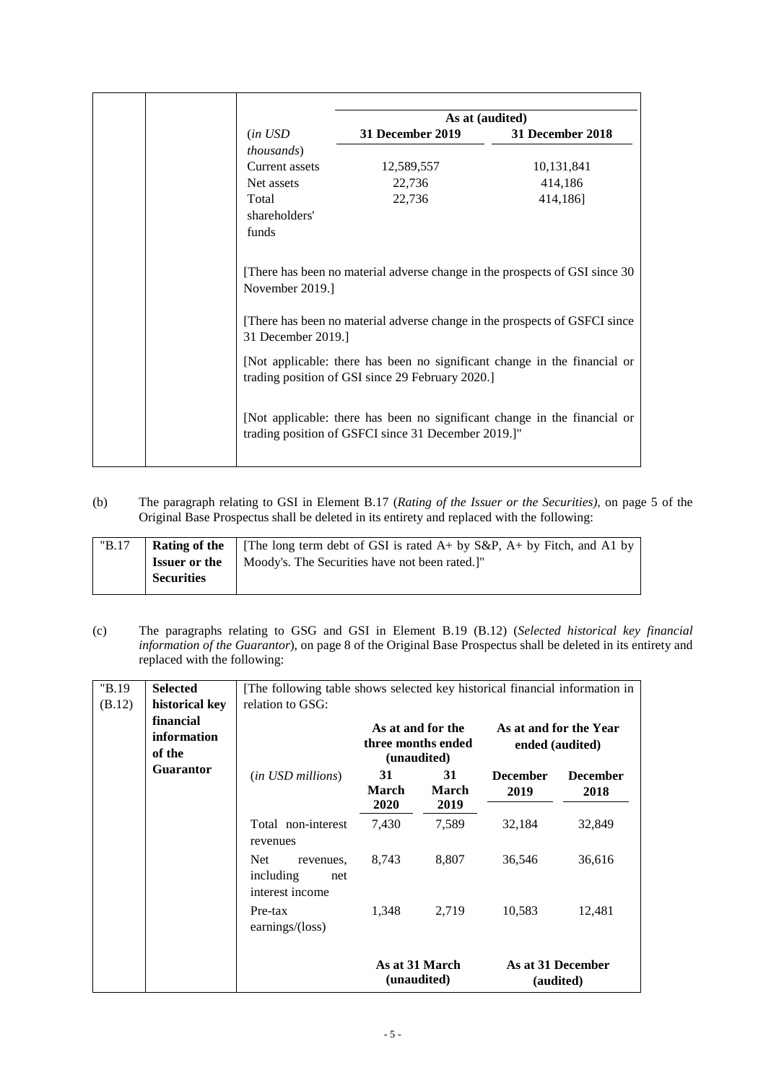|                    |                  | As at (audited)                                                             |
|--------------------|------------------|-----------------------------------------------------------------------------|
| (in USD)           | 31 December 2019 | 31 December 2018                                                            |
| <i>thousands</i> ) |                  |                                                                             |
| Current assets     | 12,589,557       | 10,131,841                                                                  |
| Net assets         | 22,736           | 414,186                                                                     |
| Total              | 22,736           | 414,186]                                                                    |
| shareholders'      |                  |                                                                             |
| funds              |                  |                                                                             |
| November 2019.]    |                  | [There has been no material adverse change in the prospects of GSI since 30 |

(b) The paragraph relating to GSI in Element B.17 (*Rating of the Issuer or the Securities),* on page 5 of the Original Base Prospectus shall be deleted in its entirety and replaced with the following:

| "B.17" |                      | <b>Rating of the</b>   [The long term debt of GSI is rated $A$ + by S&P, $A$ + by Fitch, and A1 by |
|--------|----------------------|----------------------------------------------------------------------------------------------------|
|        | <b>Issuer or the</b> | Moody's. The Securities have not been rated.]"                                                     |
|        | <b>Securities</b>    |                                                                                                    |
|        |                      |                                                                                                    |

(c) The paragraphs relating to GSG and GSI in Element B.19 (B.12) (*Selected historical key financial information of the Guarantor*), on page 8 of the Original Base Prospectus shall be deleted in its entirety and replaced with the following:

| "B.19  | <b>Selected</b>                    | [The following table shows selected key historical financial information in |                                           |                               |                         |                                |
|--------|------------------------------------|-----------------------------------------------------------------------------|-------------------------------------------|-------------------------------|-------------------------|--------------------------------|
| (B.12) | historical key                     | relation to GSG:                                                            |                                           |                               |                         |                                |
|        | financial<br>information<br>of the |                                                                             | As at and for the Year<br>ended (audited) |                               |                         |                                |
|        | <b>Guarantor</b>                   | ( <i>in USD millions</i> )                                                  | 31<br><b>March</b><br>2020                | 31<br>March<br>2019           | <b>December</b><br>2019 | <b>December</b><br>2018        |
|        |                                    | Total non-interest<br>revenues                                              | 7,430                                     | 7,589                         | 32,184                  | 32,849                         |
|        |                                    | <b>Net</b><br>revenues,<br>including<br>net<br>interest income              | 8,743                                     | 8,807                         | 36,546                  | 36,616                         |
|        |                                    | Pre-tax<br>earnings/ $(\text{loss})$                                        | 1,348                                     | 2,719                         | 10,583                  | 12,481                         |
|        |                                    |                                                                             |                                           | As at 31 March<br>(unaudited) |                         | As at 31 December<br>(audited) |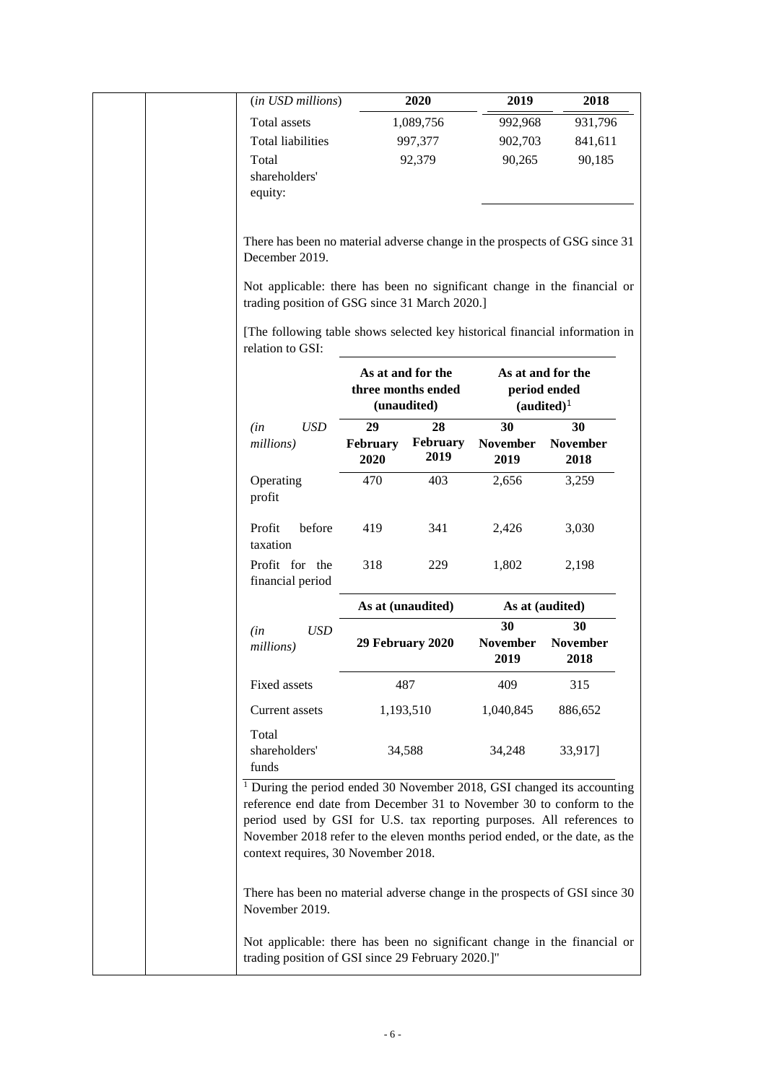| Total assets<br>1,089,756<br>992,968<br>931,796<br><b>Total liabilities</b><br>997,377<br>902,703<br>841,611<br>90,265<br>Total<br>92,379<br>90,185<br>shareholders'<br>equity:<br>There has been no material adverse change in the prospects of GSG since 31<br>December 2019.<br>Not applicable: there has been no significant change in the financial or<br>trading position of GSG since 31 March 2020.]<br>[The following table shows selected key historical financial information in<br>relation to GSI:<br>As at and for the<br>As at and for the<br>three months ended<br>period ended<br>(unaudited)<br>$(audited)^1$<br><b>USD</b><br>29<br>28<br>30<br>30<br>(in<br>February<br>millions)<br>February<br><b>November</b><br><b>November</b><br>2019<br>2020<br>2019<br>2018<br>Operating<br>403<br>2,656<br>3,259<br>470<br>profit<br>Profit<br>before<br>341<br>419<br>2,426<br>3,030<br>taxation<br>Profit for the<br>318<br>1,802<br>229<br>2,198<br>financial period<br>As at (unaudited)<br>As at (audited)<br>30<br>30<br><b>USD</b><br>(in<br><b>November</b><br>29 February 2020<br><b>November</b><br>millions)<br>2019<br>2018 | (in USD millions) | 2020 | 2019 | 2018 |
|------------------------------------------------------------------------------------------------------------------------------------------------------------------------------------------------------------------------------------------------------------------------------------------------------------------------------------------------------------------------------------------------------------------------------------------------------------------------------------------------------------------------------------------------------------------------------------------------------------------------------------------------------------------------------------------------------------------------------------------------------------------------------------------------------------------------------------------------------------------------------------------------------------------------------------------------------------------------------------------------------------------------------------------------------------------------------------------------------------------------------------------------------|-------------------|------|------|------|
|                                                                                                                                                                                                                                                                                                                                                                                                                                                                                                                                                                                                                                                                                                                                                                                                                                                                                                                                                                                                                                                                                                                                                      |                   |      |      |      |
|                                                                                                                                                                                                                                                                                                                                                                                                                                                                                                                                                                                                                                                                                                                                                                                                                                                                                                                                                                                                                                                                                                                                                      |                   |      |      |      |
|                                                                                                                                                                                                                                                                                                                                                                                                                                                                                                                                                                                                                                                                                                                                                                                                                                                                                                                                                                                                                                                                                                                                                      |                   |      |      |      |
|                                                                                                                                                                                                                                                                                                                                                                                                                                                                                                                                                                                                                                                                                                                                                                                                                                                                                                                                                                                                                                                                                                                                                      |                   |      |      |      |
|                                                                                                                                                                                                                                                                                                                                                                                                                                                                                                                                                                                                                                                                                                                                                                                                                                                                                                                                                                                                                                                                                                                                                      |                   |      |      |      |
|                                                                                                                                                                                                                                                                                                                                                                                                                                                                                                                                                                                                                                                                                                                                                                                                                                                                                                                                                                                                                                                                                                                                                      |                   |      |      |      |
|                                                                                                                                                                                                                                                                                                                                                                                                                                                                                                                                                                                                                                                                                                                                                                                                                                                                                                                                                                                                                                                                                                                                                      |                   |      |      |      |
|                                                                                                                                                                                                                                                                                                                                                                                                                                                                                                                                                                                                                                                                                                                                                                                                                                                                                                                                                                                                                                                                                                                                                      |                   |      |      |      |
|                                                                                                                                                                                                                                                                                                                                                                                                                                                                                                                                                                                                                                                                                                                                                                                                                                                                                                                                                                                                                                                                                                                                                      |                   |      |      |      |
|                                                                                                                                                                                                                                                                                                                                                                                                                                                                                                                                                                                                                                                                                                                                                                                                                                                                                                                                                                                                                                                                                                                                                      |                   |      |      |      |
|                                                                                                                                                                                                                                                                                                                                                                                                                                                                                                                                                                                                                                                                                                                                                                                                                                                                                                                                                                                                                                                                                                                                                      |                   |      |      |      |
|                                                                                                                                                                                                                                                                                                                                                                                                                                                                                                                                                                                                                                                                                                                                                                                                                                                                                                                                                                                                                                                                                                                                                      |                   |      |      |      |
|                                                                                                                                                                                                                                                                                                                                                                                                                                                                                                                                                                                                                                                                                                                                                                                                                                                                                                                                                                                                                                                                                                                                                      |                   |      |      |      |
|                                                                                                                                                                                                                                                                                                                                                                                                                                                                                                                                                                                                                                                                                                                                                                                                                                                                                                                                                                                                                                                                                                                                                      |                   |      |      |      |
|                                                                                                                                                                                                                                                                                                                                                                                                                                                                                                                                                                                                                                                                                                                                                                                                                                                                                                                                                                                                                                                                                                                                                      |                   |      |      |      |
|                                                                                                                                                                                                                                                                                                                                                                                                                                                                                                                                                                                                                                                                                                                                                                                                                                                                                                                                                                                                                                                                                                                                                      |                   |      |      |      |
|                                                                                                                                                                                                                                                                                                                                                                                                                                                                                                                                                                                                                                                                                                                                                                                                                                                                                                                                                                                                                                                                                                                                                      |                   |      |      |      |
| Fixed assets<br>487<br>409<br>315                                                                                                                                                                                                                                                                                                                                                                                                                                                                                                                                                                                                                                                                                                                                                                                                                                                                                                                                                                                                                                                                                                                    |                   |      |      |      |
| Current assets<br>1,193,510<br>886,652<br>1,040,845                                                                                                                                                                                                                                                                                                                                                                                                                                                                                                                                                                                                                                                                                                                                                                                                                                                                                                                                                                                                                                                                                                  |                   |      |      |      |
| Total<br>shareholders'<br>34,588<br>34,248<br>33,917]<br>funds                                                                                                                                                                                                                                                                                                                                                                                                                                                                                                                                                                                                                                                                                                                                                                                                                                                                                                                                                                                                                                                                                       |                   |      |      |      |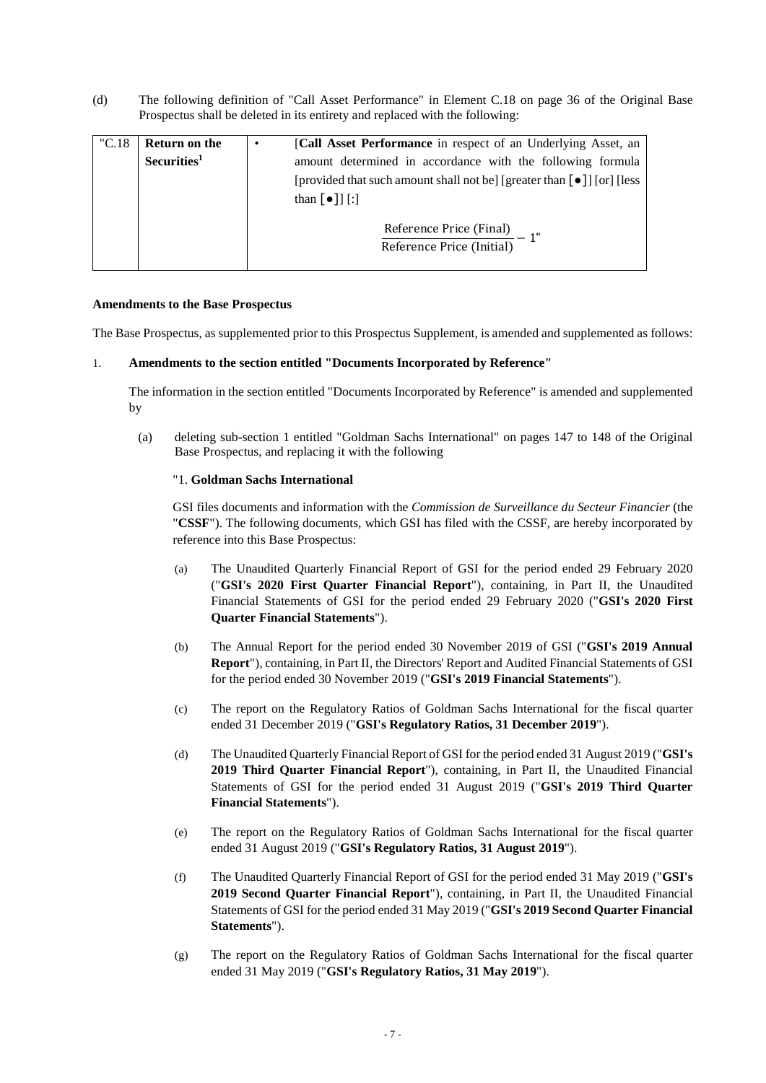(d) The following definition of "Call Asset Performance" in Element C.18 on page 36 of the Original Base Prospectus shall be deleted in its entirety and replaced with the following:

| "C.18" | <b>Return on the</b><br>Securities <sup>1</sup> | ٠ | [Call Asset Performance in respect of an Underlying Asset, an<br>amount determined in accordance with the following formula<br>[provided that such amount shall not be] [greater than [ $\bullet$ ]] [or] [less]<br>than $\lceil \bullet \rceil$ [:] |
|--------|-------------------------------------------------|---|------------------------------------------------------------------------------------------------------------------------------------------------------------------------------------------------------------------------------------------------------|
|        |                                                 |   | $\frac{\text{Reference Price (Final)} }{\text{Reference Price (Initial)}} - \frac{1}{2}$                                                                                                                                                             |

#### **Amendments to the Base Prospectus**

The Base Prospectus, as supplemented prior to this Prospectus Supplement, is amended and supplemented as follows:

#### 1. **Amendments to the section entitled "Documents Incorporated by Reference"**

The information in the section entitled "Documents Incorporated by Reference" is amended and supplemented by

(a) deleting sub-section 1 entitled "Goldman Sachs International" on pages 147 to 148 of the Original Base Prospectus, and replacing it with the following

#### "1. **Goldman Sachs International**

GSI files documents and information with the *Commission de Surveillance du Secteur Financier* (the "**CSSF**"). The following documents, which GSI has filed with the CSSF, are hereby incorporated by reference into this Base Prospectus:

- (a) The Unaudited Quarterly Financial Report of GSI for the period ended 29 February 2020 ("**GSI's 2020 First Quarter Financial Report**"), containing, in Part II, the Unaudited Financial Statements of GSI for the period ended 29 February 2020 ("**GSI's 2020 First Quarter Financial Statements**").
- (b) The Annual Report for the period ended 30 November 2019 of GSI ("**GSI's 2019 Annual Report**"), containing, in Part II, the Directors' Report and Audited Financial Statements of GSI for the period ended 30 November 2019 ("**GSI's 2019 Financial Statements**").
- (c) The report on the Regulatory Ratios of Goldman Sachs International for the fiscal quarter ended 31 December 2019 ("**GSI's Regulatory Ratios, 31 December 2019**").
- (d) The Unaudited Quarterly Financial Report of GSI for the period ended 31 August 2019 ("**GSI's 2019 Third Quarter Financial Report**"), containing, in Part II, the Unaudited Financial Statements of GSI for the period ended 31 August 2019 ("**GSI's 2019 Third Quarter Financial Statements**").
- (e) The report on the Regulatory Ratios of Goldman Sachs International for the fiscal quarter ended 31 August 2019 ("**GSI's Regulatory Ratios, 31 August 2019**").
- (f) The Unaudited Quarterly Financial Report of GSI for the period ended 31 May 2019 ("**GSI's 2019 Second Quarter Financial Report**"), containing, in Part II, the Unaudited Financial Statements of GSI for the period ended 31 May 2019 ("**GSI's 2019 Second Quarter Financial Statements**").
- (g) The report on the Regulatory Ratios of Goldman Sachs International for the fiscal quarter ended 31 May 2019 ("**GSI's Regulatory Ratios, 31 May 2019**").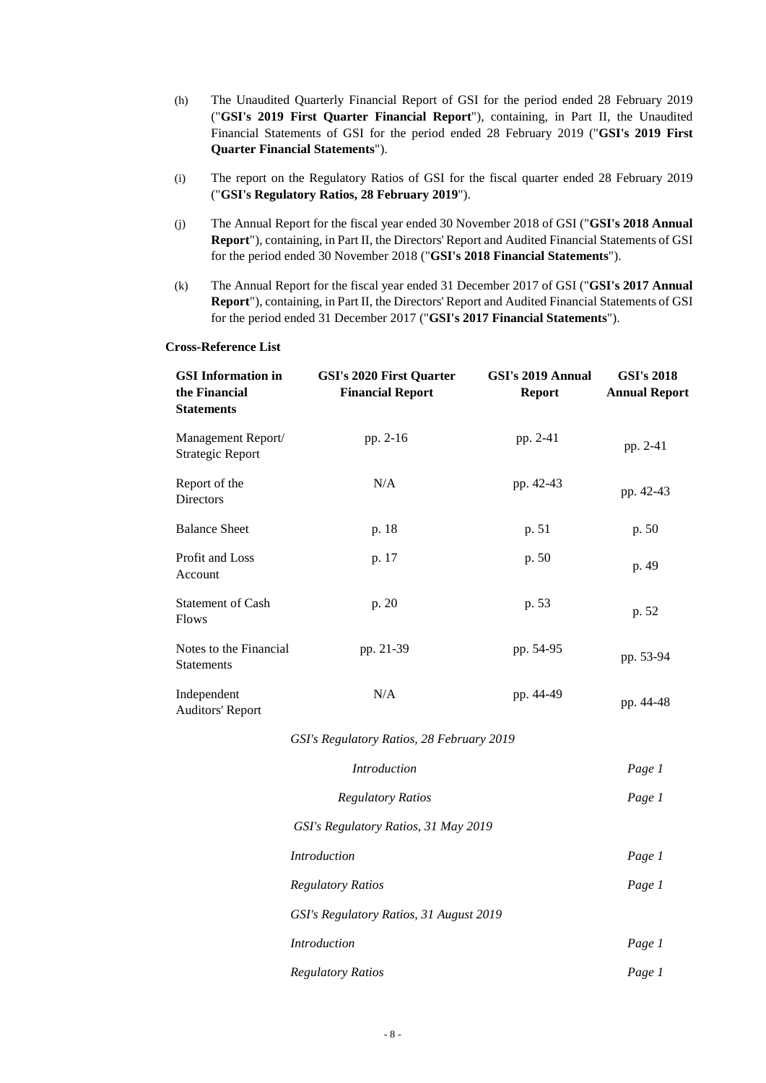- (h) The Unaudited Quarterly Financial Report of GSI for the period ended 28 February 2019 ("**GSI's 2019 First Quarter Financial Report**"), containing, in Part II, the Unaudited Financial Statements of GSI for the period ended 28 February 2019 ("**GSI's 2019 First Quarter Financial Statements**").
- (i) The report on the Regulatory Ratios of GSI for the fiscal quarter ended 28 February 2019 ("**GSI's Regulatory Ratios, 28 February 2019**").
- (j) The Annual Report for the fiscal year ended 30 November 2018 of GSI ("**GSI's 2018 Annual Report**"), containing, in Part II, the Directors' Report and Audited Financial Statements of GSI for the period ended 30 November 2018 ("**GSI's 2018 Financial Statements**").
- (k) The Annual Report for the fiscal year ended 31 December 2017 of GSI ("**GSI's 2017 Annual Report**"), containing, in Part II, the Directors' Report and Audited Financial Statements of GSI for the period ended 31 December 2017 ("**GSI's 2017 Financial Statements**").

#### **Cross-Reference List**

| <b>GSI</b> Information in<br>the Financial<br><b>Statements</b> | <b>GSI's 2020 First Quarter</b><br><b>Financial Report</b> | GSI's 2019 Annual<br><b>Report</b> | <b>GSI's 2018</b><br><b>Annual Report</b> |
|-----------------------------------------------------------------|------------------------------------------------------------|------------------------------------|-------------------------------------------|
| Management Report/<br><b>Strategic Report</b>                   | pp. 2-16                                                   | pp. 2-41                           | pp. 2-41                                  |
| Report of the<br>Directors                                      | N/A                                                        | pp. 42-43                          | pp. 42-43                                 |
| <b>Balance Sheet</b>                                            | p. 18                                                      | p. 51                              | p. 50                                     |
| Profit and Loss<br>Account                                      | p. 17                                                      | p. 50                              | p. 49                                     |
| <b>Statement of Cash</b><br><b>Flows</b>                        | p. 20                                                      | p. 53                              | p. 52                                     |
| Notes to the Financial<br>Statements                            | pp. 21-39                                                  | pp. 54-95                          | pp. 53-94                                 |
| Independent<br><b>Auditors' Report</b>                          | N/A                                                        | pp. 44-49                          | pp. 44-48                                 |
|                                                                 | GSI's Regulatory Ratios, 28 February 2019                  |                                    |                                           |
|                                                                 | Introduction                                               |                                    | Page 1                                    |
|                                                                 | <b>Regulatory Ratios</b>                                   |                                    | Page 1                                    |
|                                                                 | GSI's Regulatory Ratios, 31 May 2019                       |                                    |                                           |
|                                                                 | Introduction                                               |                                    | Page 1                                    |
|                                                                 | <b>Regulatory Ratios</b>                                   |                                    | Page 1                                    |
|                                                                 | GSI's Regulatory Ratios, 31 August 2019                    |                                    |                                           |
|                                                                 | <b>Introduction</b>                                        |                                    | Page 1                                    |
|                                                                 | <b>Regulatory Ratios</b>                                   |                                    | Page 1                                    |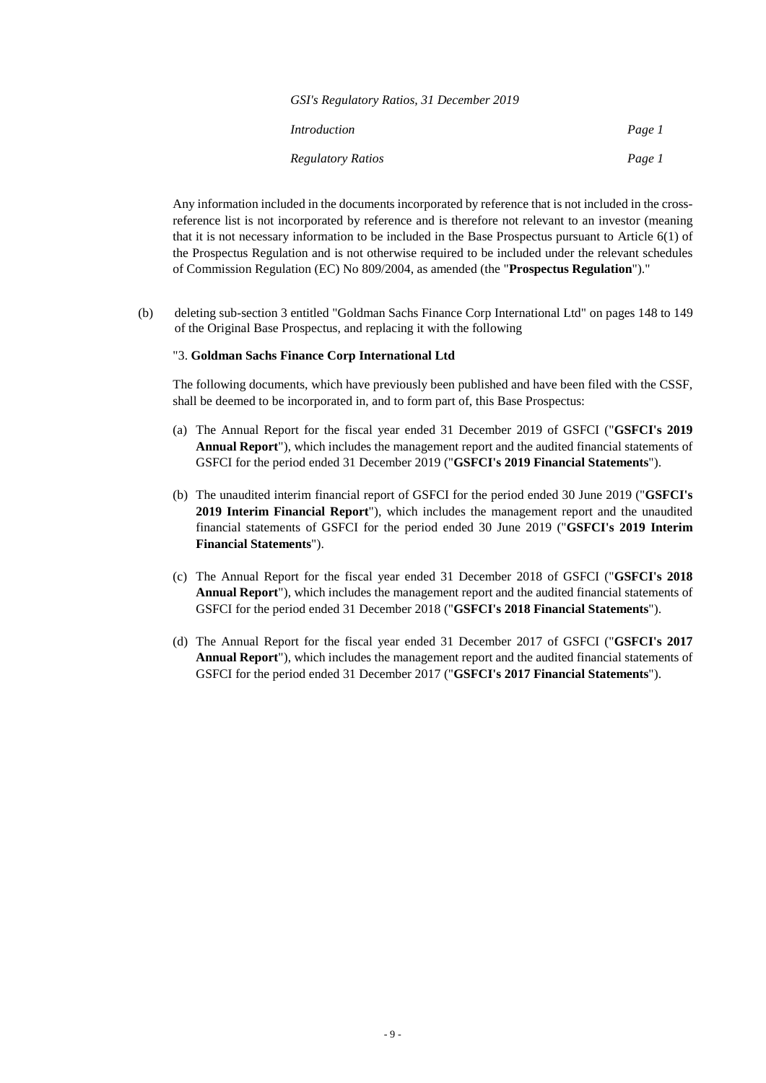| GSI's Regulatory Ratios, 31 December 2019 |        |
|-------------------------------------------|--------|
| Introduction                              | Page 1 |
| <b>Regulatory Ratios</b>                  | Page 1 |

Any information included in the documents incorporated by reference that is not included in the crossreference list is not incorporated by reference and is therefore not relevant to an investor (meaning that it is not necessary information to be included in the Base Prospectus pursuant to Article 6(1) of the Prospectus Regulation and is not otherwise required to be included under the relevant schedules of Commission Regulation (EC) No 809/2004, as amended (the "**Prospectus Regulation**")."

(b) deleting sub-section 3 entitled "Goldman Sachs Finance Corp International Ltd" on pages 148 to 149 of the Original Base Prospectus, and replacing it with the following

#### "3. **Goldman Sachs Finance Corp International Ltd**

The following documents, which have previously been published and have been filed with the CSSF, shall be deemed to be incorporated in, and to form part of, this Base Prospectus:

- (a) The Annual Report for the fiscal year ended 31 December 2019 of GSFCI ("**GSFCI's 2019 Annual Report**"), which includes the management report and the audited financial statements of GSFCI for the period ended 31 December 2019 ("**GSFCI's 2019 Financial Statements**").
- (b) The unaudited interim financial report of GSFCI for the period ended 30 June 2019 ("**GSFCI's 2019 Interim Financial Report**"), which includes the management report and the unaudited financial statements of GSFCI for the period ended 30 June 2019 ("**GSFCI's 2019 Interim Financial Statements**").
- (c) The Annual Report for the fiscal year ended 31 December 2018 of GSFCI ("**GSFCI's 2018 Annual Report**"), which includes the management report and the audited financial statements of GSFCI for the period ended 31 December 2018 ("**GSFCI's 2018 Financial Statements**").
- (d) The Annual Report for the fiscal year ended 31 December 2017 of GSFCI ("**GSFCI's 2017 Annual Report**"), which includes the management report and the audited financial statements of GSFCI for the period ended 31 December 2017 ("**GSFCI's 2017 Financial Statements**").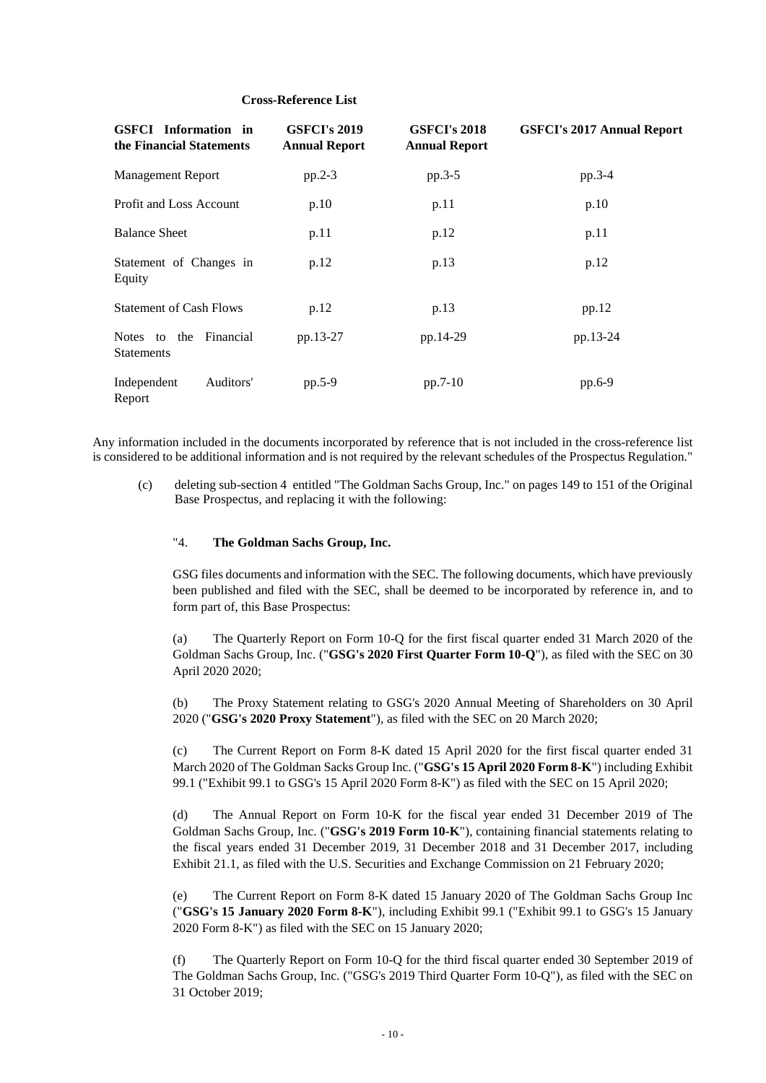#### **Cross-Reference List**

| <b>GSFCI</b> Information in<br>the Financial Statements | <b>GSFCI's 2019</b><br><b>Annual Report</b> | <b>GSFCI's 2018</b><br><b>Annual Report</b> | <b>GSFCI's 2017 Annual Report</b> |
|---------------------------------------------------------|---------------------------------------------|---------------------------------------------|-----------------------------------|
| <b>Management Report</b>                                | $pp.2-3$                                    | $pp.3-5$                                    | pp.3-4                            |
| <b>Profit and Loss Account</b>                          | p.10                                        | p.11                                        | p.10                              |
| <b>Balance Sheet</b>                                    | p.11                                        | p.12                                        | p.11                              |
| Statement of Changes in<br>Equity                       | p.12                                        | p.13                                        | p.12                              |
| <b>Statement of Cash Flows</b>                          | p.12                                        | p.13                                        | pp.12                             |
| Notes to the Financial<br><b>Statements</b>             | pp.13-27                                    | pp.14-29                                    | pp.13-24                          |
| Independent<br>Auditors'<br>Report                      | $pp.5-9$                                    | $pp.7-10$                                   | pp.6-9                            |

Any information included in the documents incorporated by reference that is not included in the cross-reference list is considered to be additional information and is not required by the relevant schedules of the Prospectus Regulation."

(c) deleting sub-section 4 entitled "The Goldman Sachs Group, Inc." on pages 149 to 151 of the Original Base Prospectus, and replacing it with the following:

#### "4. **The Goldman Sachs Group, Inc.**

GSG files documents and information with the SEC. The following documents, which have previously been published and filed with the SEC, shall be deemed to be incorporated by reference in, and to form part of, this Base Prospectus:

(a) The Quarterly Report on Form 10-Q for the first fiscal quarter ended 31 March 2020 of the Goldman Sachs Group, Inc. ("**GSG's 2020 First Quarter Form 10-Q**"), as filed with the SEC on 30 April 2020 2020;

(b) The Proxy Statement relating to GSG's 2020 Annual Meeting of Shareholders on 30 April 2020 ("**GSG's 2020 Proxy Statement**"), as filed with the SEC on 20 March 2020;

(c) The Current Report on Form 8-K dated 15 April 2020 for the first fiscal quarter ended 31 March 2020 of The Goldman Sacks Group Inc. ("**GSG's 15 April 2020 Form 8-K**") including Exhibit 99.1 ("Exhibit 99.1 to GSG's 15 April 2020 Form 8-K") as filed with the SEC on 15 April 2020;

(d) The Annual Report on Form 10-K for the fiscal year ended 31 December 2019 of The Goldman Sachs Group, Inc. ("**GSG's 2019 Form 10-K**"), containing financial statements relating to the fiscal years ended 31 December 2019, 31 December 2018 and 31 December 2017, including Exhibit 21.1, as filed with the U.S. Securities and Exchange Commission on 21 February 2020;

(e) The Current Report on Form 8-K dated 15 January 2020 of The Goldman Sachs Group Inc ("**GSG's 15 January 2020 Form 8-K**"), including Exhibit 99.1 ("Exhibit 99.1 to GSG's 15 January 2020 Form 8-K") as filed with the SEC on 15 January 2020;

(f) The Quarterly Report on Form 10-Q for the third fiscal quarter ended 30 September 2019 of The Goldman Sachs Group, Inc. ("GSG's 2019 Third Quarter Form 10-Q"), as filed with the SEC on 31 October 2019;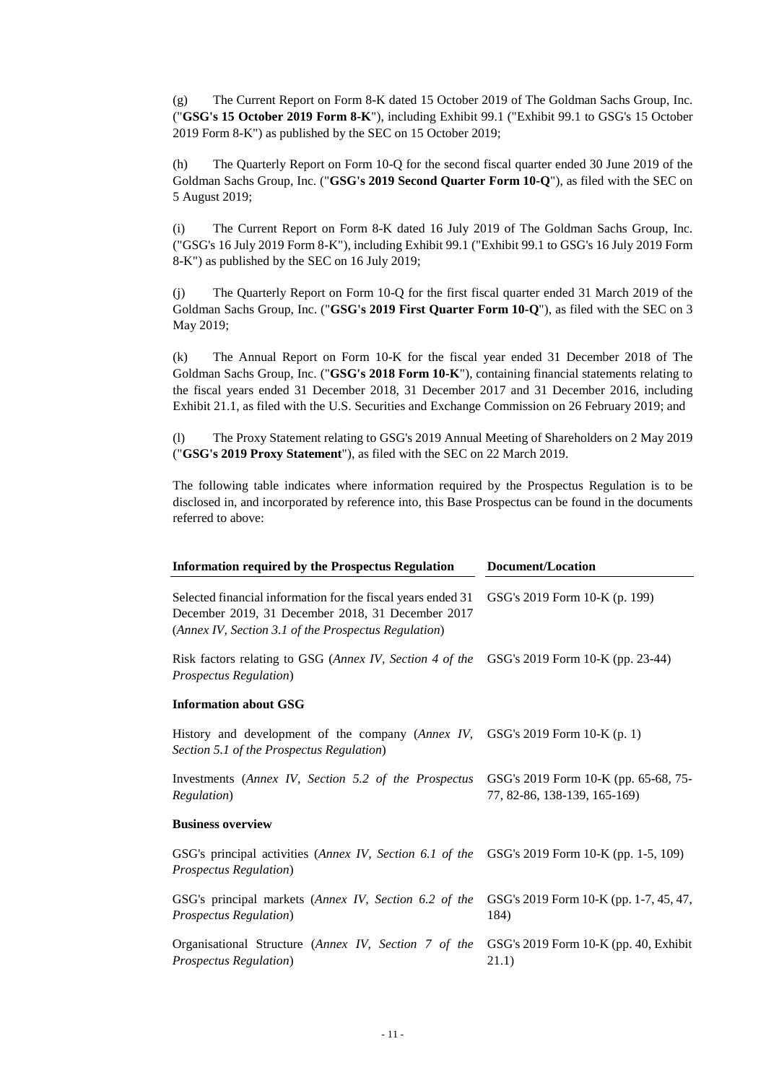(g) The Current Report on Form 8-K dated 15 October 2019 of The Goldman Sachs Group, Inc. ("**GSG's 15 October 2019 Form 8-K**"), including Exhibit 99.1 ("Exhibit 99.1 to GSG's 15 October 2019 Form 8-K") as published by the SEC on 15 October 2019;

(h) The Quarterly Report on Form 10-Q for the second fiscal quarter ended 30 June 2019 of the Goldman Sachs Group, Inc. ("**GSG's 2019 Second Quarter Form 10-Q**"), as filed with the SEC on 5 August 2019;

(i) The Current Report on Form 8-K dated 16 July 2019 of The Goldman Sachs Group, Inc. ("GSG's 16 July 2019 Form 8-K"), including Exhibit 99.1 ("Exhibit 99.1 to GSG's 16 July 2019 Form 8-K") as published by the SEC on 16 July 2019;

(j) The Quarterly Report on Form 10-Q for the first fiscal quarter ended 31 March 2019 of the Goldman Sachs Group, Inc. ("**GSG's 2019 First Quarter Form 10-Q**"), as filed with the SEC on 3 May 2019;

(k) The Annual Report on Form 10-K for the fiscal year ended 31 December 2018 of The Goldman Sachs Group, Inc. ("**GSG's 2018 Form 10-K**"), containing financial statements relating to the fiscal years ended 31 December 2018, 31 December 2017 and 31 December 2016, including Exhibit 21.1, as filed with the U.S. Securities and Exchange Commission on 26 February 2019; and

(l) The Proxy Statement relating to GSG's 2019 Annual Meeting of Shareholders on 2 May 2019 ("**GSG's 2019 Proxy Statement**"), as filed with the SEC on 22 March 2019.

The following table indicates where information required by the Prospectus Regulation is to be disclosed in, and incorporated by reference into, this Base Prospectus can be found in the documents referred to above:

| <b>Information required by the Prospectus Regulation</b>                                                                                                                  | Document/Location                                                    |  |  |
|---------------------------------------------------------------------------------------------------------------------------------------------------------------------------|----------------------------------------------------------------------|--|--|
| Selected financial information for the fiscal years ended 31<br>December 2019, 31 December 2018, 31 December 2017<br>(Annex IV, Section 3.1 of the Prospectus Regulation) | GSG's 2019 Form 10-K (p. 199)                                        |  |  |
| Risk factors relating to GSG (Annex IV, Section 4 of the GSG's 2019 Form 10-K (pp. 23-44)<br><b>Prospectus Regulation</b> )                                               |                                                                      |  |  |
| <b>Information about GSG</b>                                                                                                                                              |                                                                      |  |  |
| History and development of the company (Annex IV, GSG's 2019 Form $10-K(p, 1)$ )<br>Section 5.1 of the Prospectus Regulation)                                             |                                                                      |  |  |
| Investments (Annex IV, Section 5.2 of the Prospectus<br>Regulation)                                                                                                       | GSG's 2019 Form 10-K (pp. 65-68, 75-<br>77, 82-86, 138-139, 165-169) |  |  |
| <b>Business overview</b>                                                                                                                                                  |                                                                      |  |  |
| GSG's principal activities (Annex IV, Section 6.1 of the GSG's 2019 Form 10-K (pp. 1-5, 109)<br><b>Prospectus Regulation</b> )                                            |                                                                      |  |  |
| GSG's principal markets (Annex IV, Section 6.2 of the<br><b>Prospectus Regulation</b> )                                                                                   | GSG's 2019 Form 10-K (pp. 1-7, 45, 47,<br>184)                       |  |  |
| Organisational Structure (Annex IV, Section 7 of the<br><b>Prospectus Regulation</b> )                                                                                    | GSG's 2019 Form 10-K (pp. 40, Exhibit<br>21.1)                       |  |  |
|                                                                                                                                                                           |                                                                      |  |  |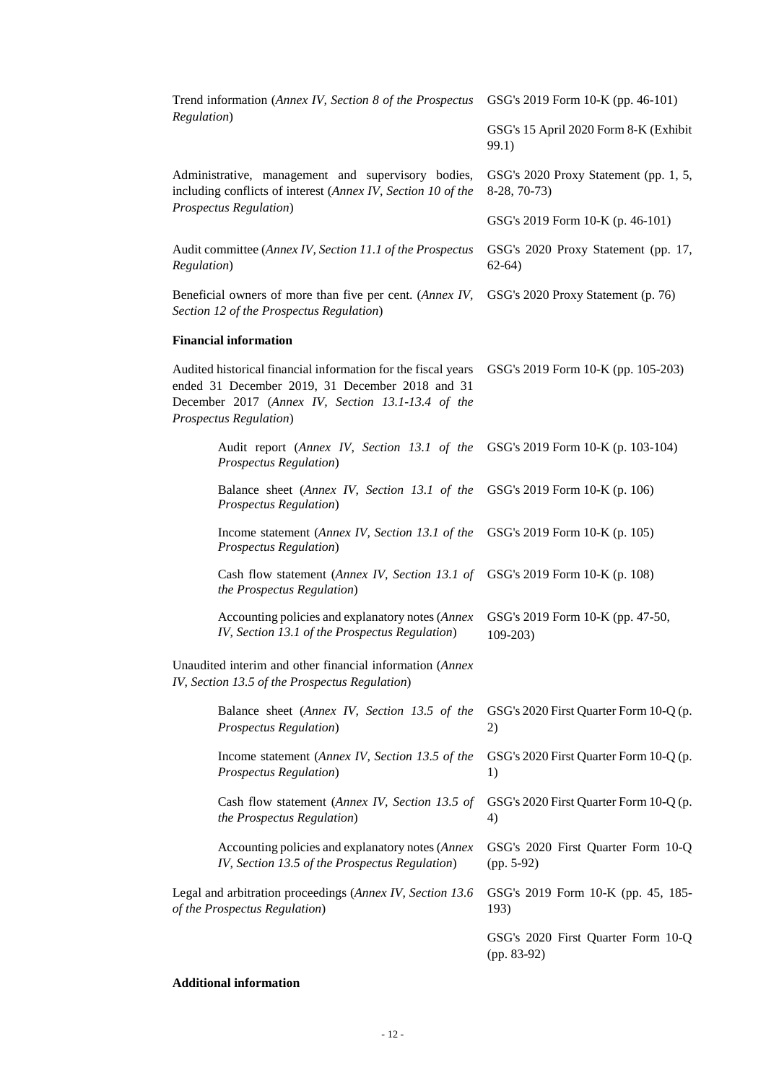| Trend information (Annex IV, Section 8 of the Prospectus                                                                                                                                                | GSG's 2019 Form 10-K (pp. 46-101)                     |  |
|---------------------------------------------------------------------------------------------------------------------------------------------------------------------------------------------------------|-------------------------------------------------------|--|
| Regulation)                                                                                                                                                                                             | GSG's 15 April 2020 Form 8-K (Exhibit<br>99.1)        |  |
| Administrative, management and supervisory bodies,<br>including conflicts of interest (Annex IV, Section 10 of the                                                                                      | GSG's 2020 Proxy Statement (pp. 1, 5,<br>8-28, 70-73) |  |
| <b>Prospectus Regulation</b> )                                                                                                                                                                          | GSG's 2019 Form 10-K (p. 46-101)                      |  |
| Audit committee (Annex IV, Section 11.1 of the Prospectus<br>Regulation)                                                                                                                                | GSG's 2020 Proxy Statement (pp. 17,<br>$62-64)$       |  |
| Beneficial owners of more than five per cent. (Annex IV,<br>Section 12 of the Prospectus Regulation)                                                                                                    | GSG's 2020 Proxy Statement (p. 76)                    |  |
| <b>Financial information</b>                                                                                                                                                                            |                                                       |  |
| Audited historical financial information for the fiscal years<br>ended 31 December 2019, 31 December 2018 and 31<br>December 2017 (Annex IV, Section 13.1-13.4 of the<br><b>Prospectus Regulation</b> ) | GSG's 2019 Form 10-K (pp. 105-203)                    |  |
| Audit report (Annex IV, Section 13.1 of the<br>Prospectus Regulation)                                                                                                                                   | GSG's 2019 Form 10-K (p. 103-104)                     |  |
| Balance sheet (Annex IV, Section 13.1 of the<br><b>Prospectus Regulation</b> )                                                                                                                          | GSG's 2019 Form 10-K (p. 106)                         |  |
| Income statement (Annex IV, Section 13.1 of the<br><b>Prospectus Regulation</b> )                                                                                                                       | GSG's 2019 Form 10-K (p. 105)                         |  |
| Cash flow statement (Annex IV, Section 13.1 of<br>the Prospectus Regulation)                                                                                                                            | GSG's 2019 Form 10-K (p. 108)                         |  |
| Accounting policies and explanatory notes (Annex<br>IV, Section 13.1 of the Prospectus Regulation)                                                                                                      | GSG's 2019 Form 10-K (pp. 47-50,<br>$109-203$         |  |
| Unaudited interim and other financial information (Annex<br>IV, Section 13.5 of the Prospectus Regulation)                                                                                              |                                                       |  |
| Balance sheet (Annex IV, Section 13.5 of the<br><b>Prospectus Regulation</b> )                                                                                                                          | GSG's 2020 First Quarter Form 10-Q (p.<br>2)          |  |
| Income statement (Annex IV, Section 13.5 of the<br><b>Prospectus Regulation</b> )                                                                                                                       | GSG's 2020 First Quarter Form 10-Q (p.<br>1)          |  |
| Cash flow statement (Annex IV, Section 13.5 of<br>the Prospectus Regulation)                                                                                                                            | GSG's 2020 First Quarter Form 10-Q (p.<br>4)          |  |
| Accounting policies and explanatory notes (Annex<br>IV, Section 13.5 of the Prospectus Regulation)                                                                                                      | GSG's 2020 First Quarter Form 10-Q<br>$(pp. 5-92)$    |  |
| Legal and arbitration proceedings (Annex IV, Section 13.6<br>of the Prospectus Regulation)                                                                                                              | GSG's 2019 Form 10-K (pp. 45, 185-<br>193)            |  |
|                                                                                                                                                                                                         | GSG's 2020 First Quarter Form 10-Q<br>(pp. 83-92)     |  |

# **Additional information**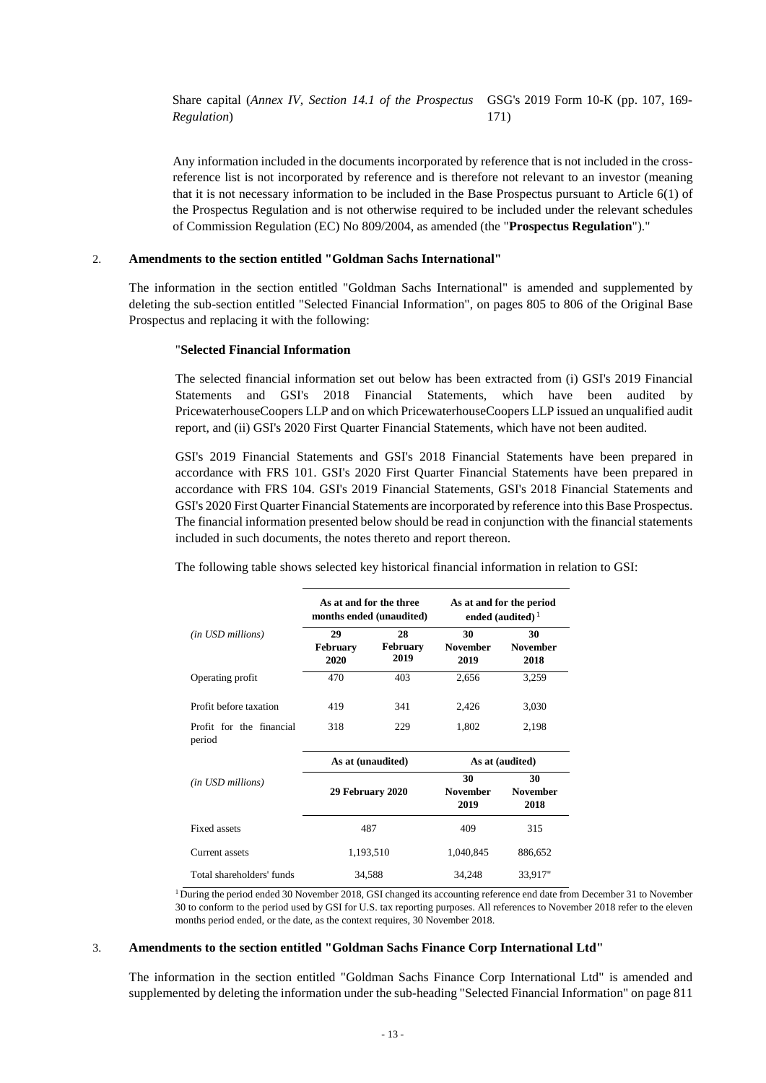Share capital (*Annex IV, Section 14.1 of the Prospectus*  GSG's 2019 Form 10-K (pp. 107, 169- *Regulation*) 171)

Any information included in the documents incorporated by reference that is not included in the crossreference list is not incorporated by reference and is therefore not relevant to an investor (meaning that it is not necessary information to be included in the Base Prospectus pursuant to Article 6(1) of the Prospectus Regulation and is not otherwise required to be included under the relevant schedules of Commission Regulation (EC) No 809/2004, as amended (the "**Prospectus Regulation**")."

#### 2. **Amendments to the section entitled "Goldman Sachs International"**

The information in the section entitled "Goldman Sachs International" is amended and supplemented by deleting the sub-section entitled "Selected Financial Information", on pages 805 to 806 of the Original Base Prospectus and replacing it with the following:

#### "**Selected Financial Information**

The selected financial information set out below has been extracted from (i) GSI's 2019 Financial Statements and GSI's 2018 Financial Statements, which have been audited by PricewaterhouseCoopers LLP and on which PricewaterhouseCoopers LLP issued an unqualified audit report, and (ii) GSI's 2020 First Quarter Financial Statements, which have not been audited.

GSI's 2019 Financial Statements and GSI's 2018 Financial Statements have been prepared in accordance with FRS 101. GSI's 2020 First Quarter Financial Statements have been prepared in accordance with FRS 104. GSI's 2019 Financial Statements, GSI's 2018 Financial Statements and GSI's 2020 First Quarter Financial Statements are incorporated by reference into this Base Prospectus. The financial information presented below should be read in conjunction with the financial statements included in such documents, the notes thereto and report thereon.

The following table shows selected key historical financial information in relation to GSI:

|                                    | As at and for the three<br>months ended (unaudited) |                               | As at and for the period<br>ended (audited) $1$ |                               |
|------------------------------------|-----------------------------------------------------|-------------------------------|-------------------------------------------------|-------------------------------|
| (in USD millions)                  | 29<br><b>February</b><br>2020                       | 28<br><b>February</b><br>2019 | 30<br><b>November</b><br>2019                   | 30<br><b>November</b><br>2018 |
| Operating profit                   | 470                                                 | 403                           | 2,656                                           | 3,259                         |
| Profit before taxation             | 419                                                 | 341                           | 2,426                                           | 3,030                         |
| Profit for the financial<br>period | 318                                                 | 229                           | 1,802                                           | 2,198                         |
|                                    | As at (unaudited)                                   |                               | As at (audited)                                 |                               |
| (in USD millions)                  | 29 February 2020                                    |                               | 30<br><b>November</b><br>2019                   | 30<br><b>November</b><br>2018 |
| Fixed assets                       | 487                                                 |                               | 409                                             | 315                           |
| Current assets                     | 1,193,510                                           |                               | 1,040,845                                       | 886,652                       |
| Total shareholders' funds          |                                                     | 34,588                        | 34,248                                          | 33,917"                       |

<sup>1</sup> During the period ended 30 November 2018, GSI changed its accounting reference end date from December 31 to November 30 to conform to the period used by GSI for U.S. tax reporting purposes. All references to November 2018 refer to the eleven months period ended, or the date, as the context requires, 30 November 2018.

#### 3. **Amendments to the section entitled "Goldman Sachs Finance Corp International Ltd"**

The information in the section entitled "Goldman Sachs Finance Corp International Ltd" is amended and supplemented by deleting the information under the sub-heading "Selected Financial Information" on page 811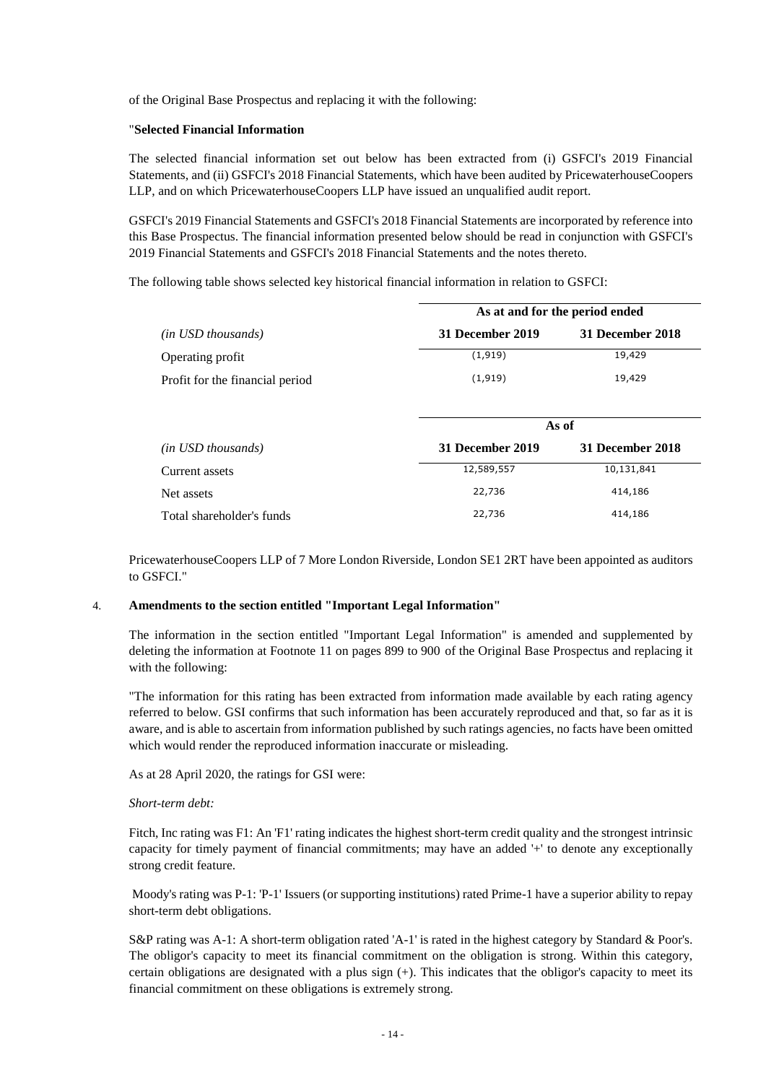of the Original Base Prospectus and replacing it with the following:

#### "**Selected Financial Information**

The selected financial information set out below has been extracted from (i) GSFCI's 2019 Financial Statements, and (ii) GSFCI's 2018 Financial Statements, which have been audited by PricewaterhouseCoopers LLP, and on which PricewaterhouseCoopers LLP have issued an unqualified audit report.

GSFCI's 2019 Financial Statements and GSFCI's 2018 Financial Statements are incorporated by reference into this Base Prospectus. The financial information presented below should be read in conjunction with GSFCI's 2019 Financial Statements and GSFCI's 2018 Financial Statements and the notes thereto.

The following table shows selected key historical financial information in relation to GSFCI:

|                                 | As at and for the period ended |                  |  |  |
|---------------------------------|--------------------------------|------------------|--|--|
| (in USD thousands)              | 31 December 2019               | 31 December 2018 |  |  |
| Operating profit                | (1, 919)                       | 19,429           |  |  |
| Profit for the financial period | (1, 919)                       | 19,429           |  |  |
|                                 |                                |                  |  |  |
|                                 |                                | As of            |  |  |
| ( <i>in USD thousands</i> )     | 31 December 2019               | 31 December 2018 |  |  |
| Current assets                  | 12,589,557                     | 10,131,841       |  |  |
| Net assets                      | 22,736                         | 414,186          |  |  |
| Total shareholder's funds       | 22,736                         | 414,186          |  |  |

PricewaterhouseCoopers LLP of 7 More London Riverside, London SE1 2RT have been appointed as auditors to GSFCI."

#### 4. **Amendments to the section entitled "Important Legal Information"**

The information in the section entitled "Important Legal Information" is amended and supplemented by deleting the information at Footnote 11 on pages 899 to 900 of the Original Base Prospectus and replacing it with the following:

"The information for this rating has been extracted from information made available by each rating agency referred to below. GSI confirms that such information has been accurately reproduced and that, so far as it is aware, and is able to ascertain from information published by such ratings agencies, no facts have been omitted which would render the reproduced information inaccurate or misleading.

As at 28 April 2020, the ratings for GSI were:

#### *Short-term debt:*

Fitch, Inc rating was F1: An 'F1' rating indicates the highest short-term credit quality and the strongest intrinsic capacity for timely payment of financial commitments; may have an added '+' to denote any exceptionally strong credit feature.

 Moody's rating was P-1: 'P-1' Issuers (or supporting institutions) rated Prime-1 have a superior ability to repay short-term debt obligations.

S&P rating was A-1: A short-term obligation rated 'A-1' is rated in the highest category by Standard & Poor's. The obligor's capacity to meet its financial commitment on the obligation is strong. Within this category, certain obligations are designated with a plus sign (+). This indicates that the obligor's capacity to meet its financial commitment on these obligations is extremely strong.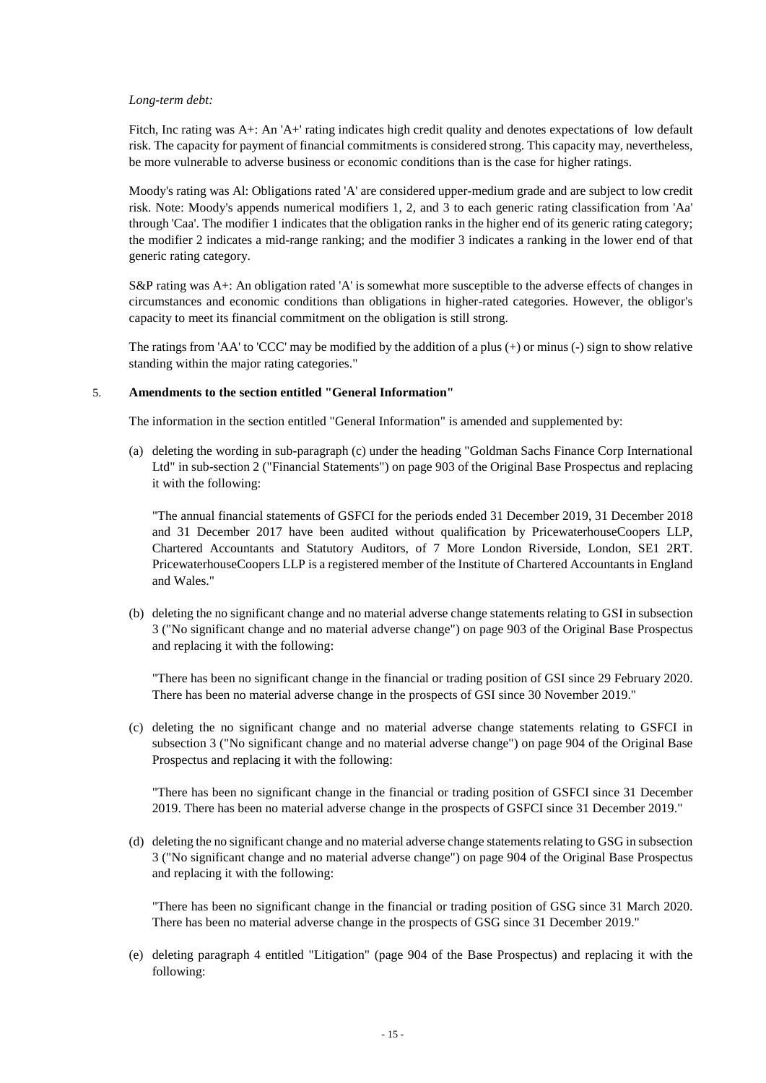#### *Long-term debt:*

Fitch, Inc rating was A+: An 'A+' rating indicates high credit quality and denotes expectations of low default risk. The capacity for payment of financial commitments is considered strong. This capacity may, nevertheless, be more vulnerable to adverse business or economic conditions than is the case for higher ratings.

Moody's rating was Al: Obligations rated 'A' are considered upper-medium grade and are subject to low credit risk. Note: Moody's appends numerical modifiers 1, 2, and 3 to each generic rating classification from 'Aa' through 'Caa'. The modifier 1 indicates that the obligation ranks in the higher end of its generic rating category; the modifier 2 indicates a mid-range ranking; and the modifier 3 indicates a ranking in the lower end of that generic rating category.

S&P rating was A+: An obligation rated 'A' is somewhat more susceptible to the adverse effects of changes in circumstances and economic conditions than obligations in higher-rated categories. However, the obligor's capacity to meet its financial commitment on the obligation is still strong.

The ratings from 'AA' to 'CCC' may be modified by the addition of a plus  $(+)$  or minus  $(-)$  sign to show relative standing within the major rating categories."

#### 5. **Amendments to the section entitled "General Information"**

The information in the section entitled "General Information" is amended and supplemented by:

(a) deleting the wording in sub-paragraph (c) under the heading "Goldman Sachs Finance Corp International Ltd" in sub-section 2 ("Financial Statements") on page 903 of the Original Base Prospectus and replacing it with the following:

"The annual financial statements of GSFCI for the periods ended 31 December 2019, 31 December 2018 and 31 December 2017 have been audited without qualification by PricewaterhouseCoopers LLP, Chartered Accountants and Statutory Auditors, of 7 More London Riverside, London, SE1 2RT. PricewaterhouseCoopers LLP is a registered member of the Institute of Chartered Accountants in England and Wales."

(b) deleting the no significant change and no material adverse change statements relating to GSI in subsection 3 ("No significant change and no material adverse change") on page 903 of the Original Base Prospectus and replacing it with the following:

"There has been no significant change in the financial or trading position of GSI since 29 February 2020. There has been no material adverse change in the prospects of GSI since 30 November 2019."

(c) deleting the no significant change and no material adverse change statements relating to GSFCI in subsection 3 ("No significant change and no material adverse change") on page 904 of the Original Base Prospectus and replacing it with the following:

"There has been no significant change in the financial or trading position of GSFCI since 31 December 2019. There has been no material adverse change in the prospects of GSFCI since 31 December 2019."

(d) deleting the no significant change and no material adverse change statements relating to GSG in subsection 3 ("No significant change and no material adverse change") on page 904 of the Original Base Prospectus and replacing it with the following:

"There has been no significant change in the financial or trading position of GSG since 31 March 2020. There has been no material adverse change in the prospects of GSG since 31 December 2019."

(e) deleting paragraph 4 entitled "Litigation" (page 904 of the Base Prospectus) and replacing it with the following: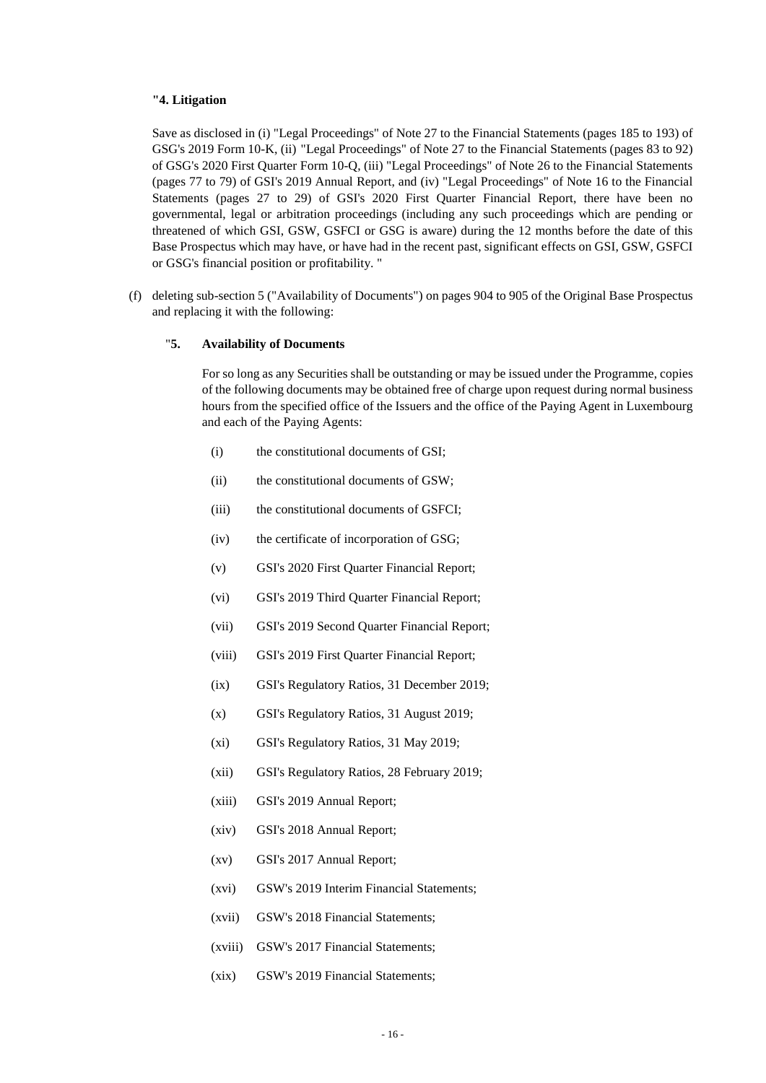#### **"4. Litigation**

Save as disclosed in (i) "Legal Proceedings" of Note 27 to the Financial Statements (pages 185 to 193) of GSG's 2019 Form 10-K, (ii) "Legal Proceedings" of Note 27 to the Financial Statements (pages 83 to 92) of GSG's 2020 First Quarter Form 10-Q, (iii) "Legal Proceedings" of Note 26 to the Financial Statements (pages 77 to 79) of GSI's 2019 Annual Report, and (iv) "Legal Proceedings" of Note 16 to the Financial Statements (pages 27 to 29) of GSI's 2020 First Quarter Financial Report, there have been no governmental, legal or arbitration proceedings (including any such proceedings which are pending or threatened of which GSI, GSW, GSFCI or GSG is aware) during the 12 months before the date of this Base Prospectus which may have, or have had in the recent past, significant effects on GSI, GSW, GSFCI or GSG's financial position or profitability. "

(f) deleting sub-section 5 ("Availability of Documents") on pages 904 to 905 of the Original Base Prospectus and replacing it with the following:

# "**5. Availability of Documents**

For so long as any Securities shall be outstanding or may be issued under the Programme, copies of the following documents may be obtained free of charge upon request during normal business hours from the specified office of the Issuers and the office of the Paying Agent in Luxembourg and each of the Paying Agents:

- (i) the constitutional documents of GSI;
- (ii) the constitutional documents of GSW;
- (iii) the constitutional documents of GSFCI;
- (iv) the certificate of incorporation of GSG;
- (v) GSI's 2020 First Quarter Financial Report;
- (vi) GSI's 2019 Third Quarter Financial Report;
- (vii) GSI's 2019 Second Quarter Financial Report;
- (viii) GSI's 2019 First Quarter Financial Report;
- (ix) GSI's Regulatory Ratios, 31 December 2019;
- (x) GSI's Regulatory Ratios, 31 August 2019;
- (xi) GSI's Regulatory Ratios, 31 May 2019;
- (xii) GSI's Regulatory Ratios, 28 February 2019;
- (xiii) GSI's 2019 Annual Report;
- (xiv) GSI's 2018 Annual Report;
- (xv) GSI's 2017 Annual Report;
- (xvi) GSW's 2019 Interim Financial Statements;
- (xvii) GSW's 2018 Financial Statements;
- (xviii) GSW's 2017 Financial Statements;
- (xix) GSW's 2019 Financial Statements;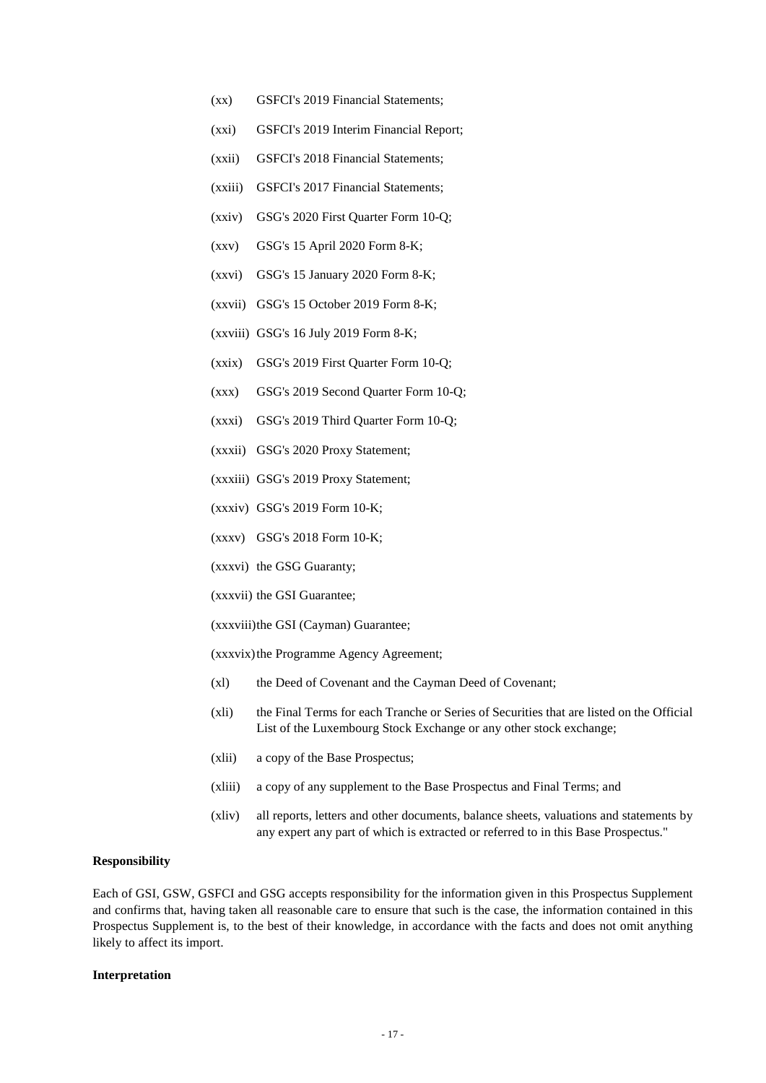- (xx) GSFCI's 2019 Financial Statements;
- (xxi) GSFCI's 2019 Interim Financial Report;
- (xxii) GSFCI's 2018 Financial Statements;
- (xxiii) GSFCI's 2017 Financial Statements;
- (xxiv) GSG's 2020 First Quarter Form 10-Q;
- (xxv) GSG's 15 April 2020 Form 8-K;
- (xxvi) GSG's 15 January 2020 Form 8-K;
- (xxvii) GSG's 15 October 2019 Form 8-K;
- (xxviii) GSG's 16 July 2019 Form 8-K;
- (xxix) GSG's 2019 First Quarter Form 10-Q;
- (xxx) GSG's 2019 Second Quarter Form 10-Q;
- (xxxi) GSG's 2019 Third Quarter Form 10-Q;
- (xxxii) GSG's 2020 Proxy Statement;
- (xxxiii) GSG's 2019 Proxy Statement;
- (xxxiv) GSG's 2019 Form 10-K;
- (xxxv) GSG's 2018 Form 10-K;
- (xxxvi) the GSG Guaranty;
- (xxxvii) the GSI Guarantee;
- (xxxviii) the GSI (Cayman) Guarantee;
- (xxxvix) the Programme Agency Agreement;
- (xl) the Deed of Covenant and the Cayman Deed of Covenant;
- (xli) the Final Terms for each Tranche or Series of Securities that are listed on the Official List of the Luxembourg Stock Exchange or any other stock exchange;
- (xlii) a copy of the Base Prospectus;
- (xliii) a copy of any supplement to the Base Prospectus and Final Terms; and
- (xliv) all reports, letters and other documents, balance sheets, valuations and statements by any expert any part of which is extracted or referred to in this Base Prospectus."

#### **Responsibility**

Each of GSI, GSW, GSFCI and GSG accepts responsibility for the information given in this Prospectus Supplement and confirms that, having taken all reasonable care to ensure that such is the case, the information contained in this Prospectus Supplement is, to the best of their knowledge, in accordance with the facts and does not omit anything likely to affect its import.

#### **Interpretation**